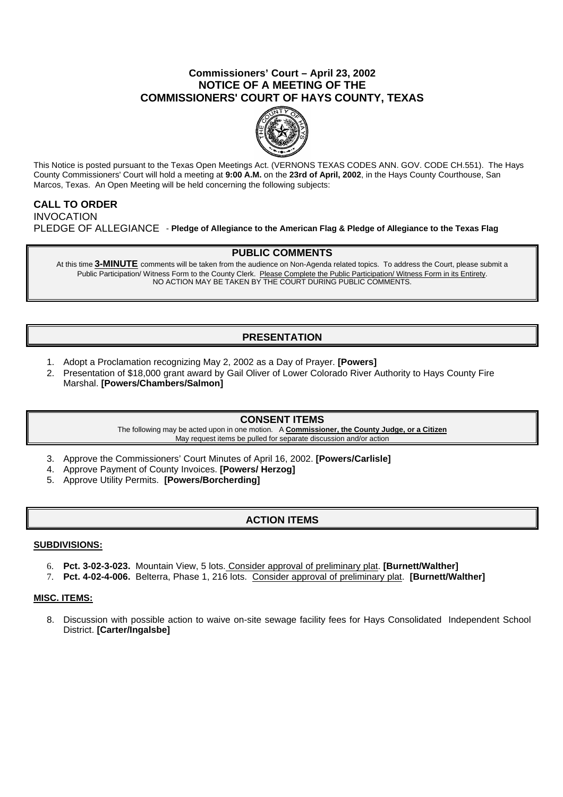## **Commissioners' Court – April 23, 2002 NOTICE OF A MEETING OF THE COMMISSIONERS' COURT OF HAYS COUNTY, TEXAS**



This Notice is posted pursuant to the Texas Open Meetings Act. (VERNONS TEXAS CODES ANN. GOV. CODE CH.551). The Hays County Commissioners' Court will hold a meeting at **9:00 A.M.** on the **23rd of April, 2002**, in the Hays County Courthouse, San Marcos, Texas. An Open Meeting will be held concerning the following subjects:

# **CALL TO ORDER**

INVOCATION PLEDGE OF ALLEGIANCE - **Pledge of Allegiance to the American Flag & Pledge of Allegiance to the Texas Flag**

## **PUBLIC COMMENTS**

At this time **3-MINUTE** comments will be taken from the audience on Non-Agenda related topics. To address the Court, please submit a Public Participation/ Witness Form to the County Clerk. Please Complete the Public Participation/ Witness Form in its Entirety. NO ACTION MAY BE TAKEN BY THE COURT DURING PUBLIC COMMENTS.

# **PRESENTATION**

- 1. Adopt a Proclamation recognizing May 2, 2002 as a Day of Prayer. **[Powers]**
- 2. Presentation of \$18,000 grant award by Gail Oliver of Lower Colorado River Authority to Hays County Fire Marshal. **[Powers/Chambers/Salmon]**

### **CONSENT ITEMS**

The following may be acted upon in one motion. A **Commissioner, the County Judge, or a Citizen** May request items be pulled for separate discussion and/or action

- 3. Approve the Commissioners' Court Minutes of April 16, 2002. **[Powers/Carlisle]**
- 4. Approve Payment of County Invoices. **[Powers/ Herzog]**
- 5. Approve Utility Permits. **[Powers/Borcherding]**

## **ACTION ITEMS**

### **SUBDIVISIONS:**

- 6. **Pct. 3-02-3-023.** Mountain View, 5 lots. Consider approval of preliminary plat. **[Burnett/Walther]**
- 7. **Pct. 4-02-4-006.** Belterra, Phase 1, 216 lots. Consider approval of preliminary plat. **[Burnett/Walther]**

### **MISC. ITEMS:**

8. Discussion with possible action to waive on-site sewage facility fees for Hays Consolidated Independent School District. **[Carter/Ingalsbe]**